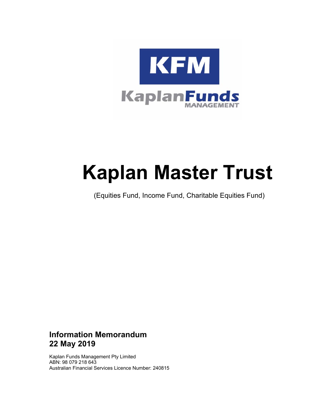

# **Kaplan Master Trust**

(Equities Fund, Income Fund, Charitable Equities Fund)

### **Information Memorandum 22 May 2019**

Kaplan Funds Management Pty Limited ABN: 98 079 218 643 Australian Financial Services Licence Number: 240815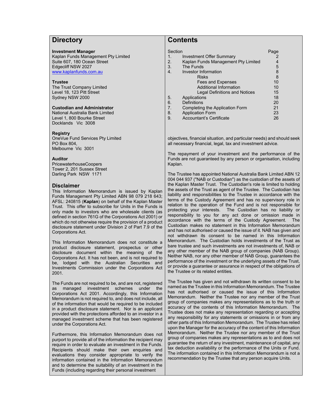### **Directory**

#### **Investment Manager**

Kaplan Funds Management Pty Limited Suite 607, 180 Ocean Street Edgecliff NSW 2027 www.kaplanfunds.com.au

#### **Trustee**

The Trust Company Limited Level 18, 123 Pitt Street Sydney NSW 2000

#### **Custodian and Administrator**

National Australia Bank Limited Level 1, 800 Bourke Street Docklands Vic 3008

#### **Registry**

OneVue Fund Services Pty Limited PO Box 804, Melbourne Vic 3001

#### **Auditor**

PricewaterhouseCoopers Tower 2, 201 Sussex Street Darling Park NSW 1171

#### **Disclaimer**

This Information Memorandum is issued by Kaplan Funds Management Pty Limited ABN 98 079 218 643; AFSL: 240815 (**Kaplan**) on behalf of the Kaplan Master Trust. This offer to subscribe for Units in the Funds is only made to investors who are wholesale clients (as defined in section 761G of the Corporations Act 2001) or which do not otherwise require the provision of a product disclosure statement under Division 2 of Part 7.9 of the Corporations Act.

This Information Memorandum does not constitute a product disclosure statement, prospectus or other disclosure document within the meaning of the Corporations Act. It has not been, and is not required to be, lodged with the Australian Securities and Investments Commission under the Corporations Act 2001.

The Funds are not required to be, and are not, registered as managed investment schemes under the Corporations Act 2001. Accordingly, this Information Memorandum is not required to, and does not include, all of the information that would be required to be included in a product disclosure statement. Nor is an applicant provided with the protections afforded to an investor in a managed investment scheme that has been registered under the Corporations Act.

Furthermore, this Information Memorandum does not purport to provide all of the information the recipient may require in order to evaluate an investment in the Funds. Recipients should make their own enquiries and evaluations they consider appropriate to verify the information contained in the Information Memorandum and to determine the suitability of an investment in the Funds (including regarding their personal investment

### **Contents**

| Section        |                                     | Page |
|----------------|-------------------------------------|------|
| 1.             | <b>Investment Offer Summary</b>     | 2    |
| 2.             | Kaplan Funds Management Pty Limited | 4    |
| 3.             | The Funds                           | 5    |
|                | Investor Information                | 8    |
|                | <b>Risks</b>                        | 8    |
|                | Fees and Expenses                   | 10   |
|                | <b>Additional Information</b>       | 10   |
|                | Legal Definitions and Notices       | 15   |
| 5.             | Applications                        | 18   |
| 6.             | <b>Definitions</b>                  | 20   |
| 7 <sub>1</sub> | Completing the Application Form     | 21   |
| 8.             | <b>Application Form</b>             | 23   |
| 9.             | Accountant's Certificate            | 26   |

objectives, financial situation, and particular needs) and should seek all necessary financial, legal, tax and investment advice.

The repayment of your investment and the performance of the Funds are not guaranteed by any person or organisation, including Kaplan.

The Trustee has appointed National Australia Bank Limited ABN 12 004 044 937 ("NAB or Custodian") as the custodian of the assets of the Kaplan Master Trust. The Custodian's role is limited to holding the assets of the Trust as agent of the Trustee. The Custodian has liability and responsibilities to the Trustee in accordance with the terms of the Custody Agreement and has no supervisory role in relation to the operation of the Fund and is not responsible for protecting your interests. The Custodian has no liability or responsibility to you for any act done or omission made in accordance with the terms of the Custody Agreement. The Custodian makes no statement in this Information Memorandum and has not authorised or caused the issue of it. NAB has given and not withdrawn its consent to be named in this Information Memorandum. The Custodian holds investments of the Trust as bare trustee and such investments are not investments of, NAB or any other member of the NAB group of companies (NAB Group). Neither NAB, nor any other member of NAB Group, guarantees the performance of the investment or the underlying assets of the Trust, or provide a guarantee or assurance in respect of the obligations of the Trustee or its related entities.

The Trustee has given and not withdrawn its written consent to be named as the Trustee in this Information Memorandum. The Trustee has not authorised or caused the issue of this Information Memorandum. Neither the Trustee nor any member of the Trust group of companies makes any representations as to the truth or accuracy of the contents of this Information Memorandum. The Trustee does not make any representation regarding or accepting any responsibility for any statements or omissions in or from any other parts of this Information Memorandum. The Trustee has relied upon the Manager for the accuracy of the content of this Information Memorandum. Neither the Trustee nor any member of the Trust group of companies makes any representations as to and does not guarantee the return of any investment, maintenance of capital, any tax deduction availability or the performance of the Units or Fund. The information contained in this Information Memorandum is not a recommendation by the Trustee that any person acquire Units.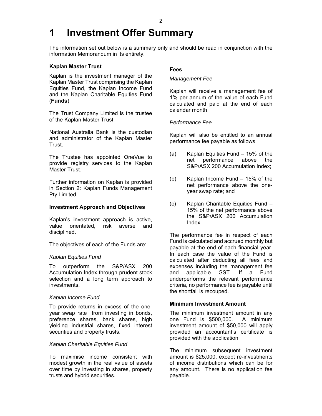# **1 Investment Offer Summary**

The information set out below is a summary only and should be read in conjunction with the information Memorandum in its entirety.

#### **Kaplan Master Trust**

Kaplan is the investment manager of the Kaplan Master Trust comprising the Kaplan Equities Fund, the Kaplan Income Fund and the Kaplan Charitable Equities Fund (**Funds**).

The Trust Company Limited is the trustee of the Kaplan Master Trust.

National Australia Bank is the custodian and administrator of the Kaplan Master Trust.

The Trustee has appointed OneVue to provide registry services to the Kaplan Master Trust.

Further information on Kaplan is provided in Section 2: Kaplan Funds Management Pty Limited.

#### **Investment Approach and Objectives**

Kaplan's investment approach is active, value orientated, risk averse and disciplined.

The objectives of each of the Funds are:

#### *Kaplan Equities Fund*

To outperform the S&P/ASX 200 Accumulation Index through prudent stock selection and a long term approach to investments.

#### *Kaplan Income Fund*

To provide returns in excess of the oneyear swap rate from investing in bonds, preference shares, bank shares, high yielding industrial shares, fixed interest securities and property trusts.

#### *Kaplan Charitable Equities Fund*

To maximise income consistent with modest growth in the real value of assets over time by investing in shares, property trusts and hybrid securities.

#### **Fees**

#### *Management Fee*

Kaplan will receive a management fee of 1% per annum of the value of each Fund calculated and paid at the end of each calendar month.

#### *Performance Fee*

Kaplan will also be entitled to an annual performance fee payable as follows:

- (a) Kaplan Equities Fund 15% of the net performance above the S&P/ASX 200 Accumulation Index;
- (b) Kaplan Income Fund 15% of the net performance above the oneyear swap rate; and
- (c) Kaplan Charitable Equities Fund 15% of the net performance above the S&P/ASX 200 Accumulation Index.

The performance fee in respect of each Fund is calculated and accrued monthly but payable at the end of each financial year. In each case the value of the Fund is calculated after deducting all fees and expenses including the management fee and applicable GST. If a Fund underperforms the relevant performance criteria, no performance fee is payable until the shortfall is recouped.

#### **Minimum Investment Amount**

The minimum investment amount in any one Fund is \$500,000. A minimum investment amount of \$50,000 will apply provided an accountant's certificate is provided with the application.

The minimum subsequent investment amount is \$25,000, except re-investments of income distributions which can be for any amount. There is no application fee payable.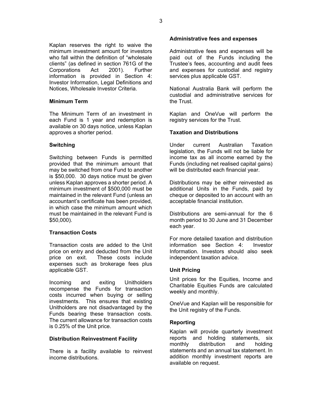Kaplan reserves the right to waive the minimum investment amount for investors who fall within the definition of "wholesale clients" (as defined in section 761G of the Corporations Act 2001). Further information is provided in Section 4: Investor Information, Legal Definitions and Notices, Wholesale Investor Criteria.

#### **Minimum Term**

The Minimum Term of an investment in each Fund is 1 year and redemption is available on 30 days notice, unless Kaplan approves a shorter period.

#### **Switching**

Switching between Funds is permitted provided that the minimum amount that may be switched from one Fund to another is \$50,000. 30 days notice must be given unless Kaplan approves a shorter period. A minimum investment of \$500,000 must be maintained in the relevant Fund (unless an accountant's certificate has been provided, in which case the minimum amount which must be maintained in the relevant Fund is \$50,000).

#### **Transaction Costs**

Transaction costs are added to the Unit price on entry and deducted from the Unit price on exit. These costs include expenses such as brokerage fees plus applicable GST.

Incoming and exiting Unitholders recompense the Funds for transaction costs incurred when buying or selling investments. This ensures that existing Unitholders are not disadvantaged by the Funds bearing these transaction costs. The current allowance for transaction costs is 0.25% of the Unit price.

#### **Distribution Reinvestment Facility**

There is a facility available to reinvest income distributions.

#### **Administrative fees and expenses**

Administrative fees and expenses will be paid out of the Funds including the Trustee's fees, accounting and audit fees and expenses for custodial and registry services plus applicable GST.

National Australia Bank will perform the custodial and administrative services for the Trust.

Kaplan and OneVue will perform the registry services for the Trust.

#### **Taxation and Distributions**

Under current Australian Taxation legislation, the Funds will not be liable for income tax as all income earned by the Funds (including net realised capital gains) will be distributed each financial year.

Distributions may be either reinvested as additional Units in the Funds, paid by cheque or deposited to an account with an acceptable financial institution.

Distributions are semi-annual for the 6 month period to 30 June and 31 December each year.

For more detailed taxation and distribution information see Section 4: Investor Information. Investors should also seek independent taxation advice.

#### **Unit Pricing**

Unit prices for the Equities, Income and Charitable Equities Funds are calculated weekly and monthly.

OneVue and Kaplan will be responsible for the Unit registry of the Funds.

#### **Reporting**

Kaplan will provide quarterly investment reports and holding statements, six monthly distribution and holding statements and an annual tax statement. In addition monthly investment reports are available on request.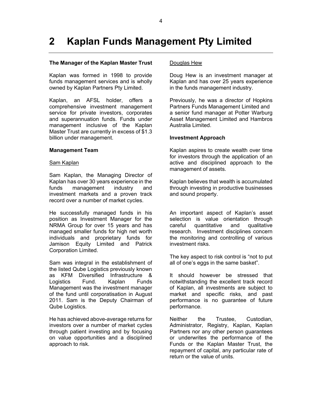# **2 Kaplan Funds Management Pty Limited**

#### **The Manager of the Kaplan Master Trust**

Kaplan was formed in 1998 to provide funds management services and is wholly owned by Kaplan Partners Pty Limited.

Kaplan, an AFSL holder, offers a comprehensive investment management service for private investors, corporates and superannuation funds. Funds under management inclusive of the Kaplan Master Trust are currently in excess of \$1.3 billion under management.

#### **Management Team**

#### **Sam Kaplan**

Sam Kaplan, the Managing Director of Kaplan has over 30 years experience in the funds management industry and investment markets and a proven track record over a number of market cycles.

He successfully managed funds in his position as Investment Manager for the NRMA Group for over 15 years and has managed smaller funds for high net worth individuals and proprietary funds for Jamison Equity Limited and Patrick Corporation Limited.

Sam was integral in the establishment of the listed Qube Logistics previously known as KFM Diversified Infrastructure & Logistics Fund. Kaplan Funds Management was the investment manager of the fund until corporatisation in August 2011. Sam is the Deputy Chairman of Qube Logistics.

He has achieved above-average returns for investors over a number of market cycles through patient investing and by focusing on value opportunities and a disciplined approach to risk.

#### Douglas Hew

Doug Hew is an investment manager at Kaplan and has over 25 years experience in the funds management industry.

Previously, he was a director of Hopkins Partners Funds Management Limited and a senior fund manager at Potter Warburg Asset Management Limited and Hambros Australia Limited.

#### **Investment Approach**

Kaplan aspires to create wealth over time for investors through the application of an active and disciplined approach to the management of assets.

Kaplan believes that wealth is accumulated through investing in productive businesses and sound property.

An important aspect of Kaplan's asset selection is value orientation through careful quantitative and qualitative research. Investment disciplines concern the monitoring and controlling of various investment risks.

The key aspect to risk control is "not to put all of one's eggs in the same basket".

It should however be stressed that notwithstanding the excellent track record of Kaplan, all investments are subject to market and specific risks, and past performance is no guarantee of future performance.

Neither the Trustee, Custodian, Administrator, Registry, Kaplan, Kaplan Partners nor any other person guarantees or underwrites the performance of the Funds or the Kaplan Master Trust, the repayment of capital, any particular rate of return or the value of units.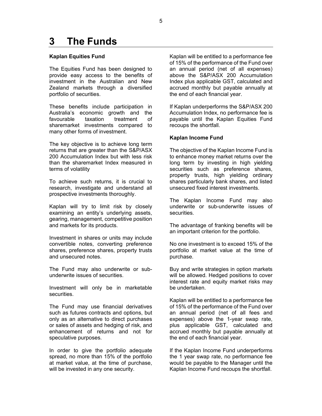## **3 The Funds**

#### **Kaplan Equities Fund**

The Equities Fund has been designed to provide easy access to the benefits of investment in the Australian and New Zealand markets through a diversified portfolio of securities.

These benefits include participation in Australia's economic growth and the favourable taxation treatment of sharemarket investments compared to many other forms of investment.

The key objective is to achieve long term returns that are greater than the S&P/ASX 200 Accumulation Index but with less risk than the sharemarket Index measured in terms of volatility

To achieve such returns, it is crucial to research, investigate and understand all prospective investments thoroughly.

Kaplan will try to limit risk by closely examining an entity's underlying assets, gearing, management, competitive position and markets for its products.

Investment in shares or units may include convertible notes, converting preference shares, preference shares, property trusts and unsecured notes.

The Fund may also underwrite or subunderwrite issues of securities.

Investment will only be in marketable securities.

The Fund may use financial derivatives such as futures contracts and options, but only as an alternative to direct purchases or sales of assets and hedging of risk, and enhancement of returns and not for speculative purposes.

In order to give the portfolio adequate spread, no more than 15% of the portfolio at market value, at the time of purchase, will be invested in any one security.

Kaplan will be entitled to a performance fee of 15% of the performance of the Fund over an annual period (net of all expenses) above the S&P/ASX 200 Accumulation Index plus applicable GST, calculated and accrued monthly but payable annually at the end of each financial year.

If Kaplan underperforms the S&P/ASX 200 Accumulation Index, no performance fee is payable until the Kaplan Equities Fund recoups the shortfall.

#### **Kaplan Income Fund**

The objective of the Kaplan Income Fund is to enhance money market returns over the long term by investing in high yielding securities such as preference shares, property trusts, high yielding ordinary shares particularly bank shares, and listed unsecured fixed interest investments.

The Kaplan Income Fund may also underwrite or sub-underwrite issues of securities.

The advantage of franking benefits will be an important criterion for the portfolio.

No one investment is to exceed 15% of the portfolio at market value at the time of purchase.

Buy and write strategies in option markets will be allowed. Hedged positions to cover interest rate and equity market risks may be undertaken.

Kaplan will be entitled to a performance fee of 15% of the performance of the Fund over an annual period (net of all fees and expenses) above the 1-year swap rate, plus applicable GST, calculated and accrued monthly but payable annually at the end of each financial year.

If the Kaplan Income Fund underperforms the 1 year swap rate, no performance fee would be payable to the Manager until the Kaplan Income Fund recoups the shortfall.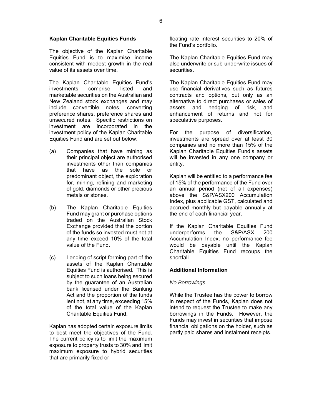#### **Kaplan Charitable Equities Funds**

The objective of the Kaplan Charitable Equities Fund is to maximise income consistent with modest growth in the real value of its assets over time.

The Kaplan Charitable Equities Fund's investments comprise listed and marketable securities on the Australian and New Zealand stock exchanges and may include convertible notes, converting preference shares, preference shares and unsecured notes. Specific restrictions on investment are incorporated in the investment policy of the Kaplan Charitable Equities Fund and are set out below:

- (a) Companies that have mining as their principal object are authorised investments other than companies that have as the sole or predominant object, the exploration for, mining, refining and marketing of gold, diamonds or other precious metals or stones.
- (b) The Kaplan Charitable Equities Fund may grant or purchase options traded on the Australian Stock Exchange provided that the portion of the funds so invested must not at any time exceed 10% of the total value of the Fund.
- (c) Lending of script forming part of the assets of the Kaplan Charitable Equities Fund is authorised. This is subject to such loans being secured by the guarantee of an Australian bank licensed under the Banking Act and the proportion of the funds lent not, at any time, exceeding 15% of the total value of the Kaplan Charitable Equities Fund.

Kaplan has adopted certain exposure limits to best meet the objectives of the Fund. The current policy is to limit the maximum exposure to property trusts to 30% and limit maximum exposure to hybrid securities that are primarily fixed or

floating rate interest securities to 20% of the Fund's portfolio.

The Kaplan Charitable Equities Fund may also underwrite or sub-underwrite issues of securities.

The Kaplan Charitable Equities Fund may use financial derivatives such as futures contracts and options, but only as an alternative to direct purchases or sales of assets and hedging of risk, and enhancement of returns and not for speculative purposes.

For the purpose of diversification, investments are spread over at least 30 companies and no more than 15% of the Kaplan Charitable Equities Fund's assets will be invested in any one company or entity.

Kaplan will be entitled to a performance fee of 15% of the performance of the Fund over an annual period (net of all expenses) above the S&P/ASX200 Accumulation Index, plus applicable GST, calculated and accrued monthly but payable annually at the end of each financial year.

If the Kaplan Charitable Equities Fund underperforms the S&P/ASX 200 Accumulation Index, no performance fee would be payable until the Kaplan Charitable Equities Fund recoups the shortfall.

#### **Additional Information**

#### *No Borrowings*

While the Trustee has the power to borrow in respect of the Funds, Kaplan does not intend to request the Trustee to make any borrowings in the Funds. However, the Funds may invest in securities that impose financial obligations on the holder, such as partly paid shares and instalment receipts.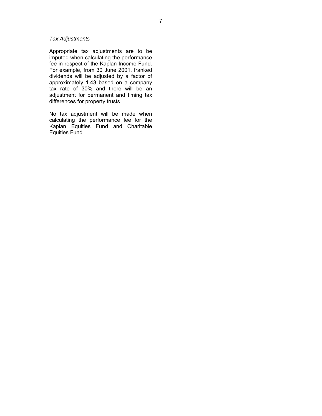#### *Tax Adjustments*

Appropriate tax adjustments are to be imputed when calculating the performance fee in respect of the Kaplan Income Fund. For example, from 30 June 2001, franked dividends will be adjusted by a factor of approximately 1.43 based on a company tax rate of 30% and there will be an adjustment for permanent and timing tax differences for property trusts

No tax adjustment will be made when calculating the performance fee for the Kaplan Equities Fund and Charitable Equities Fund.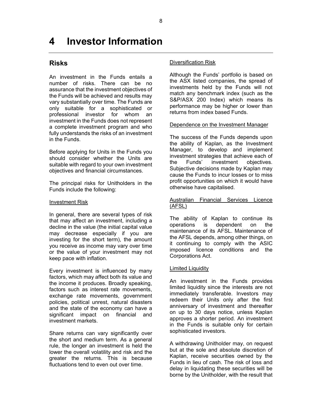# **4 Investor Information**

### **Risks**

An investment in the Funds entails a number of risks. There can be no assurance that the investment objectives of the Funds will be achieved and results may vary substantially over time. The Funds are only suitable for a sophisticated or professional investor for whom an investment in the Funds does not represent a complete investment program and who fully understands the risks of an investment in the Funds.

Before applying for Units in the Funds you should consider whether the Units are suitable with regard to your own investment objectives and financial circumstances.

The principal risks for Unitholders in the Funds include the following:

#### Investment Risk

In general, there are several types of risk that may affect an investment, including a decline in the value (the initial capital value may decrease especially if you are investing for the short term), the amount you receive as income may vary over time or the value of your investment may not keep pace with inflation.

Every investment is influenced by many factors, which may affect both its value and the income it produces. Broadly speaking, factors such as interest rate movements, exchange rate movements, government policies, political unrest, natural disasters and the state of the economy can have a significant impact on financial and investment markets.

Share returns can vary significantly over the short and medium term. As a general rule, the longer an investment is held the lower the overall volatility and risk and the greater the returns. This is because fluctuations tend to even out over time.

#### Diversification Risk

Although the Funds' portfolio is based on the ASX listed companies, the spread of investments held by the Funds will not match any benchmark index (such as the S&P/ASX 200 Index) which means its performance may be higher or lower than returns from index based Funds.

#### Dependence on the Investment Manager

The success of the Funds depends upon the ability of Kaplan, as the Investment Manager, to develop and implement investment strategies that achieve each of the Funds' investment objectives. Subjective decisions made by Kaplan may cause the Funds to incur losses or to miss profit opportunities on which it would have otherwise have capitalised.

#### Australian Financial Services Licence (AFSL)

The ability of Kaplan to continue its operations is dependent on the maintenance of its AFSL. Maintenance of the AFSL depends, among other things, on it continuing to comply with the ASIC imposed licence conditions and the Corporations Act.

#### Limited Liquidity

An investment in the Funds provides limited liquidity since the interests are not immediately transferable. Investors may redeem their Units only after the first anniversary of investment and thereafter on up to 30 days notice, unless Kaplan approves a shorter period. An investment in the Funds is suitable only for certain sophisticated investors.

A withdrawing Unitholder may, on request but at the sole and absolute discretion of Kaplan, receive securities owned by the Funds in lieu of cash. The risk of loss and delay in liquidating these securities will be borne by the Unitholder, with the result that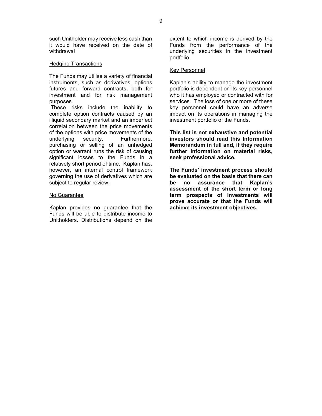such Unitholder may receive less cash than it would have received on the date of withdrawal

#### Hedging Transactions

The Funds may utilise a variety of financial instruments, such as derivatives, options futures and forward contracts, both for investment and for risk management purposes.

 These risks include the inability to complete option contracts caused by an illiquid secondary market and an imperfect correlation between the price movements of the options with price movements of the underlying security. Furthermore, purchasing or selling of an unhedged option or warrant runs the risk of causing significant losses to the Funds in a relatively short period of time. Kaplan has, however, an internal control framework governing the use of derivatives which are subject to regular review.

#### No Guarantee

Kaplan provides no guarantee that the Funds will be able to distribute income to Unitholders. Distributions depend on the

extent to which income is derived by the Funds from the performance of the underlying securities in the investment portfolio.

#### Key Personnel

Kaplan's ability to manage the investment portfolio is dependent on its key personnel who it has employed or contracted with for services. The loss of one or more of these key personnel could have an adverse impact on its operations in managing the investment portfolio of the Funds.

**This list is not exhaustive and potential investors should read this Information Memorandum in full and, if they require further information on material risks, seek professional advice.** 

**The Funds' investment process should be evaluated on the basis that there can be no assurance that Kaplan's assessment of the short term or long term prospects of investments will prove accurate or that the Funds will achieve its investment objectives.**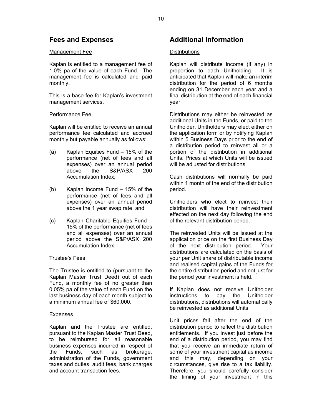### **Fees and Expenses**

#### Management Fee

Kaplan is entitled to a management fee of 1.0% pa of the value of each Fund. The management fee is calculated and paid monthly.

This is a base fee for Kaplan's investment management services.

#### Performance Fee

Kaplan will be entitled to receive an annual performance fee calculated and accrued monthly but payable annually as follows:

- (a) Kaplan Equities Fund 15% of the performance (net of fees and all expenses) over an annual period above the S&P/ASX 200 Accumulation Index;
- (b) Kaplan Income Fund 15% of the performance (net of fees and all expenses) over an annual period above the 1 year swap rate; and
- (c) Kaplan Charitable Equities Fund 15% of the performance (net of fees and all expenses) over an annual period above the S&P/ASX 200 Accumulation Index.

#### Trustee's Fees

The Trustee is entitled to (pursuant to the Kaplan Master Trust Deed) out of each Fund, a monthly fee of no greater than 0.05% pa of the value of each Fund on the last business day of each month subject to a minimum annual fee of \$60,000.

#### Expenses

Kaplan and the Trustee are entitled, pursuant to the Kaplan Master Trust Deed, to be reimbursed for all reasonable business expenses incurred in respect of the Funds, such as brokerage, administration of the Funds, government taxes and duties, audit fees, bank charges and account transaction fees.

### **Additional Information**

#### **Distributions**

Kaplan will distribute income (if any) in proportion to each Unitholding. It is anticipated that Kaplan will make an interim distribution for the period of 6 months ending on 31 December each year and a final distribution at the end of each financial year.

Distributions may either be reinvested as additional Units in the Funds, or paid to the Unitholder. Unitholders may elect either on the application form or by notifying Kaplan within 5 Business Days prior to the end of a distribution period to reinvest all or a portion of the distribution in additional Units. Prices at which Units will be issued will be adjusted for distributions.

Cash distributions will normally be paid within 1 month of the end of the distribution period.

Unitholders who elect to reinvest their distribution will have their reinvestment effected on the next day following the end of the relevant distribution period.

The reinvested Units will be issued at the application price on the first Business Day of the next distribution period. Your distributions are calculated on the basis of your per Unit share of distributable income and realised capital gains of the Funds for the entire distribution period and not just for the period your investment is held.

If Kaplan does not receive Unitholder instructions to pay the Unitholder distributions, distributions will automatically be reinvested as additional Units.

Unit prices fall after the end of the distribution period to reflect the distribution entitlements. If you invest just before the end of a distribution period, you may find that you receive an immediate return of some of your investment capital as income and this may, depending on your circumstances, give rise to a tax liability. Therefore, you should carefully consider the timing of your investment in this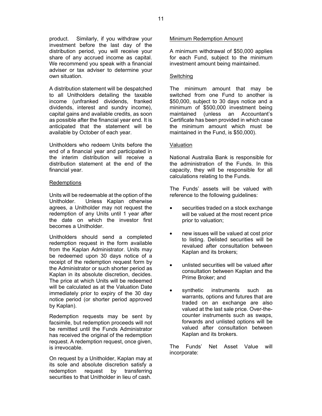product. Similarly, if you withdraw your investment before the last day of the distribution period, you will receive your share of any accrued income as capital. We recommend you speak with a financial adviser or tax adviser to determine your own situation.

A distribution statement will be despatched to all Unitholders detailing the taxable income (unfranked dividends, franked dividends, interest and sundry income), capital gains and available credits, as soon as possible after the financial year end. It is anticipated that the statement will be available by October of each year.

Unitholders who redeem Units before the end of a financial year and participated in the interim distribution will receive a distribution statement at the end of the financial year.

#### **Redemptions**

Units will be redeemable at the option of the Unitholder. Unless Kaplan otherwise agrees, a Unitholder may not request the redemption of any Units until 1 year after the date on which the investor first becomes a Unitholder.

Unitholders should send a completed redemption request in the form available from the Kaplan Administrator. Units may be redeemed upon 30 days notice of a receipt of the redemption request form by the Administrator or such shorter period as Kaplan in its absolute discretion, decides. The price at which Units will be redeemed will be calculated as at the Valuation Date immediately prior to expiry of the 30 day notice period (or shorter period approved by Kaplan).

Redemption requests may be sent by facsimile, but redemption proceeds will not be remitted until the Funds Administrator has received the original of the redemption request. A redemption request, once given, is irrevocable.

On request by a Unitholder, Kaplan may at its sole and absolute discretion satisfy a redemption request by transferring securities to that Unitholder in lieu of cash.

#### Minimum Redemption Amount

A minimum withdrawal of \$50,000 applies for each Fund, subject to the minimum investment amount being maintained.

#### Switching

The minimum amount that may be switched from one Fund to another is \$50,000, subject to 30 days notice and a minimum of \$500,000 investment being maintained (unless an Accountant's Certificate has been provided in which case the minimum amount which must be maintained in the Fund, is \$50,000).

#### Valuation

National Australia Bank is responsible for the administration of the Funds. In this capacity, they will be responsible for all calculations relating to the Funds.

The Funds' assets will be valued with reference to the following guidelines:

- securities traded on a stock exchange will be valued at the most recent price prior to valuation;
- new issues will be valued at cost prior to listing. Delisted securities will be revalued after consultation between Kaplan and its brokers;
- unlisted securities will be valued after consultation between Kaplan and the Prime Broker; and
- synthetic instruments such as warrants, options and futures that are traded on an exchange are also valued at the last sale price. Over-thecounter instruments such as swaps, forwards and unlisted options will be valued after consultation between Kaplan and its brokers.

The Funds' Net Asset Value will incorporate: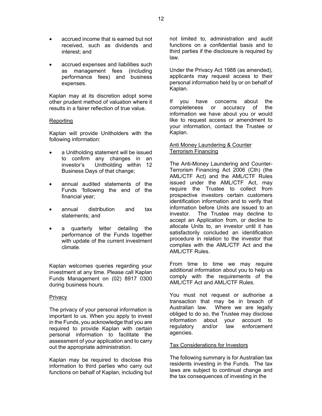- accrued income that is earned but not received, such as dividends and interest; and
- accrued expenses and liabilities such as management fees (including performance fees) and business expenses.

Kaplan may at its discretion adopt some other prudent method of valuation where it results in a fairer reflection of true value.

#### **Reporting**

Kaplan will provide Unitholders with the following information:

- a Unitholding statement will be issued to confirm any changes in an investor's Unitholding within 12 Business Days of that change;
- annual audited statements of the Funds 'following the end of the financial year;
- annual distribution and tax statements; and
- a quarterly letter detailing the performance of the Funds together with update of the current investment climate.

Kaplan welcomes queries regarding your investment at any time. Please call Kaplan Funds Management on (02) 8917 0300 during business hours.

#### Privacy

The privacy of your personal information is important to us. When you apply to invest in the Funds, you acknowledge that you are required to provide Kaplan with certain personal information to facilitate the assessment of your application and to carry out the appropriate administration.

Kaplan may be required to disclose this information to third parties who carry out functions on behalf of Kaplan, including but not limited to, administration and audit functions on a confidential basis and to third parties if the disclosure is required by law.

Under the Privacy Act 1988 (as amended), applicants may request access to their personal information held by or on behalf of Kaplan.

If you have concerns about the completeness or accuracy of the information we have about you or would like to request access or amendment to your information, contact the Trustee or Kaplan.

#### Anti Money Laundering & Counter Terrorism Financing

The Anti-Money Laundering and Counter-Terrorism Financing Act 2006 (Cth) (the AML/CTF Act) and the AML/CTF Rules issued under the AML/CTF Act, may require the Trustee to collect from prospective investors certain customers identification information and to verify that information before Units are issued to an investor. The Trustee may decline to accept an Application from, or decline to allocate Units to, an investor until it has satisfactorily concluded an identification procedure in relation to the investor that complies with the AML/CTF Act and the AML/CTF Rules.

From time to time we may require additional information about you to help us comply with the requirements of the AML/CTF Act and AML/CTF Rules.

You must not request or authorise a transaction that may be in breach of Australian law. Where we are legally obliged to do so, the Trustee may disclose information about your account to regulatory and/or law enforcement agencies.

#### Tax Considerations for Investors

The following summary is for Australian tax residents investing in the Funds. The tax laws are subject to continual change and the tax consequences of investing in the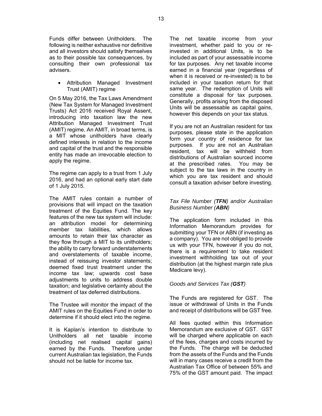Funds differ between Unitholders. The following is neither exhaustive nor definitive and all investors should satisfy themselves as to their possible tax consequences, by consulting their own professional tax advisers.

#### • Attribution Managed Investment Trust (AMIT) regime

On 5 May 2016, the Tax Laws Amendment (New Tax System for Managed Investment Trusts) Act 2016 received Royal Assent, introducing into taxation law the new Attribution Managed Investment Trust (AMIT) regime. An AMIT, in broad terms, is a MIT whose unitholders have clearly defined interests in relation to the income and capital of the trust and the responsible entity has made an irrevocable election to apply the regime.

The regime can apply to a trust from 1 July 2016, and had an optional early start date of 1 July 2015.

The AMIT rules contain a number of provisions that will impact on the taxation treatment of the Equities Fund. The key features of the new tax system will include: an attribution model for determining member tax liabilities, which allows amounts to retain their tax character as they flow through a MIT to its unitholders; the ability to carry forward understatements and overstatements of taxable income, instead of reissuing investor statements; deemed fixed trust treatment under the income tax law; upwards cost base adjustments to units to address double taxation; and legislative certainty about the treatment of tax deferred distributions.

The Trustee will monitor the impact of the AMIT rules on the Equities Fund in order to determine if it should elect into the regime.

It is Kaplan's intention to distribute to Unitholders all net taxable income (including net realised capital gains) earned by the Funds. Therefore under current Australian tax legislation, the Funds should not be liable for income tax.

The net taxable income from your investment, whether paid to you or reinvested in additional Units, is to be included as part of your assessable income for tax purposes. Any net taxable income earned in a financial year (regardless of when it is received or re-invested) is to be included in your taxation return for that same year. The redemption of Units will constitute a disposal for tax purposes. Generally, profits arising from the disposed Units will be assessable as capital gains, however this depends on your tax status.

If you are not an Australian resident for tax purposes, please state in the application form your country of residence for tax purposes. If you are not an Australian resident, tax will be withheld from distributions of Australian sourced income at the prescribed rates. You may be subject to the tax laws in the country in which you are tax resident and should consult a taxation adviser before investing.

#### *Tax File Number (TFN) and/or Australian Business Number (ABN)*

The application form included in this Information Memorandum provides for submitting your TFN or ABN (if investing as a company). You are not obliged to provide us with your TFN, however if you do not, there is a requirement to take resident investment withholding tax out of your distribution (at the highest margin rate plus Medicare levy).

#### *Goods and Services Tax (GST)*

The Funds are registered for GST. The issue or withdrawal of Units in the Funds and receipt of distributions will be GST free.

All fees quoted within this Information Memorandum are exclusive of GST. GST will be charged where applicable on each of the fees, charges and costs incurred by the Funds. The charge will be deducted from the assets of the Funds and the Funds will in many cases receive a credit from the Australian Tax Office of between 55% and 75% of the GST amount paid. The impact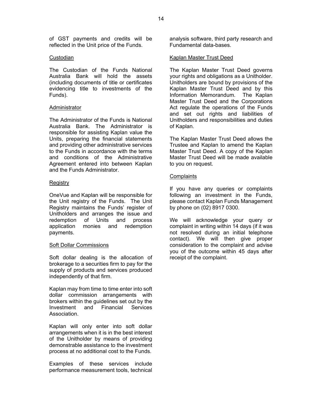of GST payments and credits will be reflected in the Unit price of the Funds.

#### **Custodian**

The Custodian of the Funds National Australia Bank will hold the assets (including documents of title or certificates evidencing title to investments of the Funds).

#### **Administrator**

The Administrator of the Funds is National Australia Bank. The Administrator is responsible for assisting Kaplan value the Units, preparing the financial statements and providing other administrative services to the Funds in accordance with the terms and conditions of the Administrative Agreement entered into between Kaplan and the Funds Administrator.

#### Registry

OneVue and Kaplan will be responsible for the Unit registry of the Funds. The Unit Registry maintains the Funds' register of Unitholders and arranges the issue and redemption of Units and process application monies and redemption payments.

#### Soft Dollar Commissions

Soft dollar dealing is the allocation of brokerage to a securities firm to pay for the supply of products and services produced independently of that firm.

Kaplan may from time to time enter into soft dollar commission arrangements with brokers within the guidelines set out by the Investment and Financial Services **Association** 

Kaplan will only enter into soft dollar arrangements when it is in the best interest of the Unitholder by means of providing demonstrable assistance to the investment process at no additional cost to the Funds.

Examples of these services include performance measurement tools, technical analysis software, third party research and Fundamental data-bases.

#### Kaplan Master Trust Deed

The Kaplan Master Trust Deed governs your rights and obligations as a Unitholder. Unitholders are bound by provisions of the Kaplan Master Trust Deed and by this Information Memorandum. The Kaplan Master Trust Deed and the Corporations Act regulate the operations of the Funds and set out rights and liabilities of Unitholders and responsibilities and duties of Kaplan.

The Kaplan Master Trust Deed allows the Trustee and Kaplan to amend the Kaplan Master Trust Deed. A copy of the Kaplan Master Trust Deed will be made available to you on request.

#### **Complaints**

If you have any queries or complaints following an investment in the Funds, please contact Kaplan Funds Management by phone on (02) 8917 0300.

We will acknowledge your query or complaint in writing within 14 days (if it was not resolved during an initial telephone contact). We will then give proper consideration to the complaint and advise you of the outcome within 45 days after receipt of the complaint.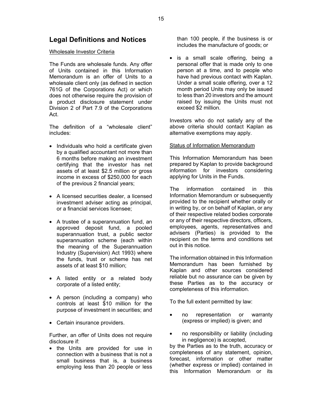### **Legal Definitions and Notices**

#### Wholesale Investor Criteria

The Funds are wholesale funds. Any offer of Units contained in this Information Memorandum is an offer of Units to a wholesale client only (as defined in section 761G of the Corporations Act) or which does not otherwise require the provision of a product disclosure statement under Division 2 of Part 7.9 of the Corporations Act.

The definition of a "wholesale client" includes:

- Individuals who hold a certificate given by a qualified accountant not more than 6 months before making an investment certifying that the investor has net assets of at least \$2.5 million or gross income in excess of \$250,000 for each of the previous 2 financial years;
- A licensed securities dealer, a licensed investment adviser acting as principal, or a financial services licensee;
- A trustee of a superannuation fund, an approved deposit fund, a pooled superannuation trust, a public sector superannuation scheme (each within the meaning of the Superannuation Industry (Supervision) Act 1993) where the funds, trust or scheme has net assets of at least \$10 million;
- A listed entity or a related body corporate of a listed entity;
- A person (including a company) who controls at least \$10 million for the purpose of investment in securities; and
- Certain insurance providers.

Further, an offer of Units does not require disclosure if:

• the Units are provided for use in connection with a business that is not a small business that is, a business employing less than 20 people or less than 100 people, if the business is or includes the manufacture of goods; or

• is a small scale offering, being a personal offer that is made only to one person at a time, and to people who have had previous contact with Kaplan. Under a small scale offering, over a 12 month period Units may only be issued to less than 20 investors and the amount raised by issuing the Units must not exceed \$2 million.

Investors who do not satisfy any of the above criteria should contact Kaplan as alternative exemptions may apply.

#### Status of Information Memorandum

This Information Memorandum has been prepared by Kaplan to provide background information for investors considering applying for Units in the Funds.

The information contained in this Information Memorandum or subsequently provided to the recipient whether orally or in writing by, or on behalf of Kaplan, or any of their respective related bodies corporate or any of their respective directors, officers, employees, agents, representatives and advisers (Parties) is provided to the recipient on the terms and conditions set out in this notice.

The information obtained in this Information Memorandum has been furnished by Kaplan and other sources considered reliable but no assurance can be given by these Parties as to the accuracy or completeness of this information.

To the full extent permitted by law:

- no representation or warranty (express or implied) is given; and
- no responsibility or liability (including in negligence) is accepted,

by the Parties as to the truth, accuracy or completeness of any statement, opinion, forecast, information or other matter (whether express or implied) contained in this Information Memorandum or its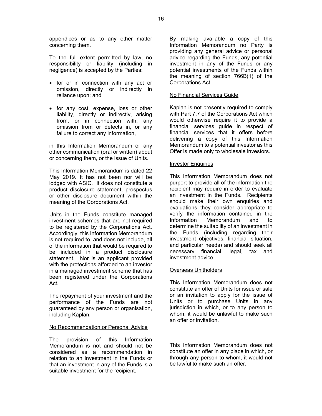appendices or as to any other matter concerning them.

To the full extent permitted by law, no responsibility or liability (including in negligence) is accepted by the Parties:

- for or in connection with any act or omission, directly or indirectly in reliance upon; and
- for any cost, expense, loss or other liability, directly or indirectly, arising from, or in connection with, any omission from or defects in, or any failure to correct any information,

in this Information Memorandum or any other communication (oral or written) about or concerning them, or the issue of Units.

This Information Memorandum is dated 22 May 2019. It has not been nor will be lodged with ASIC.It does not constitute a product disclosure statement, prospectus or other disclosure document within the meaning of the Corporations Act.

Units in the Funds constitute managed investment schemes that are not required to be registered by the Corporations Act. Accordingly, this Information Memorandum is not required to, and does not include, all of the information that would be required to be included in a product disclosure statement. Nor is an applicant provided with the protections afforded to an investor in a managed investment scheme that has been registered under the Corporations Act.

The repayment of your investment and the performance of the Funds are not guaranteed by any person or organisation, including Kaplan.

#### No Recommendation or Personal Advice

The provision of this Information Memorandum is not and should not be considered as a recommendation in relation to an investment in the Funds or that an investment in any of the Funds is a suitable investment for the recipient.

By making available a copy of this Information Memorandum no Party is providing any general advice or personal advice regarding the Funds, any potential investment in any of the Funds or any potential investments of the Funds within the meaning of section 766B(1) of the Corporations Act

#### No Financial Services Guide

Kaplan is not presently required to comply with Part 7.7 of the Corporations Act which would otherwise require it to provide a financial services guide in respect of financial services that it offers before delivering a copy of this Information Memorandum to a potential investor as this Offer is made only to wholesale investors.

#### Investor Enquiries

This Information Memorandum does not purport to provide all of the information the recipient may require in order to evaluate an investment in the Funds. Recipients should make their own enquiries and evaluations they consider appropriate to verify the information contained in the Information Memorandum and to determine the suitability of an investment in the Funds (including regarding their investment objectives, financial situation, and particular needs) and should seek all necessary financial, legal, tax and investment advice.

#### Overseas Unitholders

This Information Memorandum does not constitute an offer of Units for issue or sale or an invitation to apply for the issue of Units or to purchase Units in any jurisdiction in which, or to any person to whom, it would be unlawful to make such an offer or invitation.

This Information Memorandum does not constitute an offer in any place in which, or through any person to whom, it would not be lawful to make such an offer.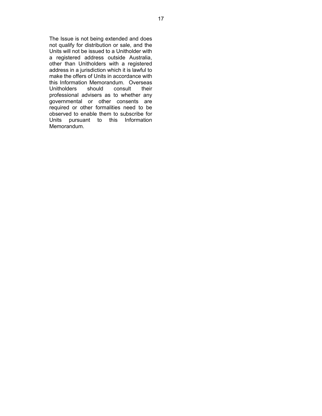The Issue is not being extended and does not qualify for distribution or sale, and the Units will not be issued to a Unitholder with a registered address outside Australia, other than Unitholders with a registered address in a jurisdiction which it is lawful to make the offers of Units in accordance with this Information Memorandum. Overseas<br>Unitholders should consult their Unitholders should consult their professional advisers as to whether any governmental or other consents are required or other formalities need to be observed to enable them to subscribe for Units pursuant to this Information Memorandum.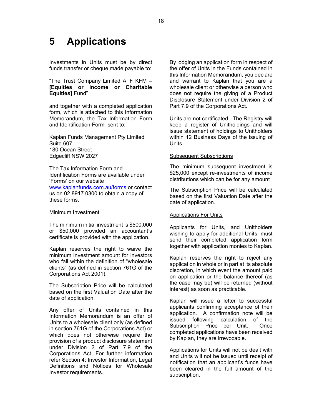# **5 Applications**

Investments in Units must be by direct funds transfer or cheque made payable to:

"The Trust Company Limited ATF KFM – **[Equities or Income or Charitable Equities]** Fund"

and together with a completed application form, which is attached to this Information Memorandum, the Tax Information Form and Identification Form sent to:

Kaplan Funds Management Pty Limited Suite 607 180 Ocean Street Edgecliff NSW 2027

The Tax Information Form and Identification Forms are available under 'Forms' on our website

www.kaplanfunds.com.au/forms or contact us on 02 8917 0300 to obtain a copy of these forms.

#### Minimum Investment

The minimum initial investment is \$500,000 or \$50,000 provided an accountant's certificate is provided with the application.

Kaplan reserves the right to waive the minimum investment amount for investors who fall within the definition of "wholesale clients" (as defined in section 761G of the Corporations Act 2001).

The Subscription Price will be calculated based on the first Valuation Date after the date of application.

Any offer of Units contained in this Information Memorandum is an offer of Units to a wholesale client only (as defined in section 761G of the Corporations Act) or which does not otherwise require the provision of a product disclosure statement under Division 2 of Part 7.9 of the Corporations Act. For further information refer Section 4: Investor Information, Legal Definitions and Notices for Wholesale Investor requirements.

By lodging an application form in respect of the offer of Units in the Funds contained in this Information Memorandum, you declare and warrant to Kaplan that you are a wholesale client or otherwise a person who does not require the giving of a Product Disclosure Statement under Division 2 of Part 7.9 of the Corporations Act.

Units are not certificated. The Registry will keep a register of Unitholdings and will issue statement of holdings to Unitholders within 12 Business Days of the issuing of Units.

#### Subsequent Subscriptions

The minimum subsequent investment is \$25,000 except re-investments of income distributions which can be for any amount

The Subscription Price will be calculated based on the first Valuation Date after the date of application.

#### Applications For Units

Applicants for Units, and Unitholders wishing to apply for additional Units, must send their completed application form together with application monies to Kaplan.

Kaplan reserves the right to reject any application in whole or in part at its absolute discretion, in which event the amount paid on application or the balance thereof (as the case may be) will be returned (without interest) as soon as practicable.

Kaplan will issue a letter to successful applicants confirming acceptance of their application. A confirmation note will be issued following calculation of the Subscription Price per Unit. Once completed applications have been received by Kaplan, they are irrevocable.

Applications for Units will not be dealt with and Units will not be issued until receipt of notification that an applicant's funds have been cleared in the full amount of the subscription.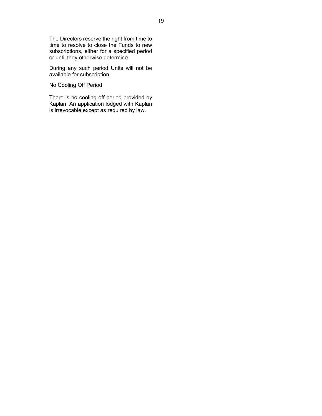The Directors reserve the right from time to time to resolve to close the Funds to new subscriptions, either for a specified period or until they otherwise determine.

During any such period Units will not be available for subscription.

#### No Cooling Off Period

There is no cooling off period provided by Kaplan. An application lodged with Kaplan is irrevocable except as required by law.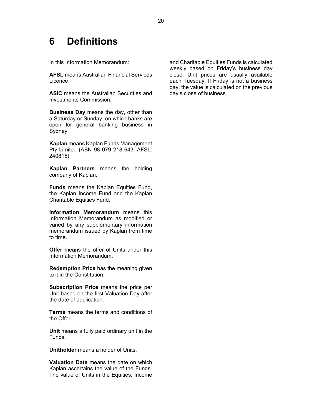# **6 Definitions**

In this Information Memorandum:

**AFSL** means Australian Financial Services Licence

**ASIC** means the Australian Securities and Investments Commission.

**Business Day** means the day, other than a Saturday or Sunday, on which banks are open for general banking business in Sydney.

**Kaplan** means Kaplan Funds Management Pty Limited (ABN 98 079 218 643; AFSL: 240815).

**Kaplan Partners** means the holding company of Kaplan.

**Funds** means the Kaplan Equities Fund, the Kaplan Income Fund and the Kaplan Charitable Equities Fund.

**Information Memorandum** means this Information Memorandum as modified or varied by any supplementary information memorandum issued by Kaplan from time to time.

**Offer** means the offer of Units under this Information Memorandum.

**Redemption Price** has the meaning given to it in the Constitution.

**Subscription Price** means the price per Unit based on the first Valuation Day after the date of application.

**Terms** means the terms and conditions of the Offer.

**Unit** means a fully paid ordinary unit in the Funds.

**Unitholder** means a holder of Units.

**Valuation Date** means the date on which Kaplan ascertains the value of the Funds. The value of Units in the Equities, Income and Charitable Equities Funds is calculated weekly based on Friday's business day close. Unit prices are usually available each Tuesday. If Friday is not a business day, the value is calculated on the previous day's close of business.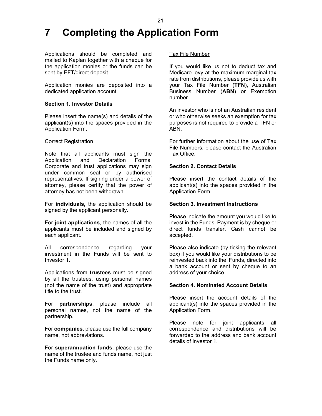# **7 Completing the Application Form**

Applications should be completed and mailed to Kaplan together with a cheque for the application monies or the funds can be sent by EFT/direct deposit.

Application monies are deposited into a dedicated application account.

#### **Section 1. Investor Details**

Please insert the name(s) and details of the applicant(s) into the spaces provided in the Application Form.

#### Correct Registration

Note that all applicants must sign the Application and Declaration Forms. Corporate and trust applications may sign under common seal or by authorised representatives. If signing under a power of attorney, please certify that the power of attorney has not been withdrawn.

For **individuals,** the application should be signed by the applicant personally.

For **joint applications**, the names of all the applicants must be included and signed by each applicant.

All correspondence regarding your investment in the Funds will be sent to Investor 1.

Applications from **trustees** must be signed by all the trustees, using personal names (not the name of the trust) and appropriate title to the trust.

For **partnerships**, please include all personal names, not the name of the partnership.

For **companies**, please use the full company name, not abbreviations.

For **superannuation funds**, please use the name of the trustee and funds name, not just the Funds name only.

#### Tax File Number

If you would like us not to deduct tax and Medicare levy at the maximum marginal tax rate from distributions, please provide us with your Tax File Number (**TFN**), Australian Business Number (**ABN**) or Exemption number.

An investor who is not an Australian resident or who otherwise seeks an exemption for tax purposes is not required to provide a TFN or ABN.

For further information about the use of Tax File Numbers, please contact the Australian Tax Office.

#### **Section 2. Contact Details**

Please insert the contact details of the applicant(s) into the spaces provided in the Application Form.

#### **Section 3. Investment Instructions**

Please indicate the amount you would like to invest in the Funds. Payment is by cheque or direct funds transfer. Cash cannot be accepted.

Please also indicate (by ticking the relevant box) if you would like your distributions to be reinvested back into the Funds, directed into a bank account or sent by cheque to an address of your choice.

#### **Section 4. Nominated Account Details**

Please insert the account details of the applicant(s) into the spaces provided in the Application Form.

Please note for joint applicants all correspondence and distributions will be forwarded to the address and bank account details of investor 1.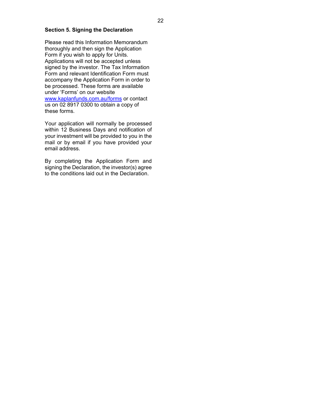#### **Section 5. Signing the Declaration**

Please read this Information Memorandum thoroughly and then sign the Application Form if you wish to apply for Units. Applications will not be accepted unless signed by the investor. The Tax Information Form and relevant Identification Form must accompany the Application Form in order to be processed. These forms are available under 'Forms' on our website www.kaplanfunds.com.au/forms or contact us on 02 8917 0300 to obtain a copy of these forms.

Your application will normally be processed within 12 Business Days and notification of your investment will be provided to you in the mail or by email if you have provided your email address.

By completing the Application Form and signing the Declaration, the investor(s) agree to the conditions laid out in the Declaration.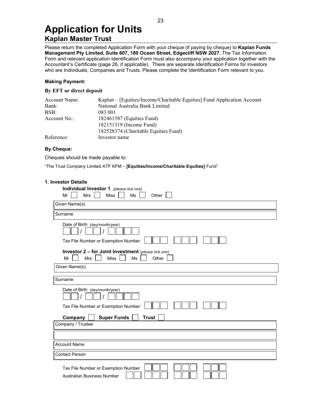### **Application for Units Kaplan Master Trust**

Please return the completed Application Form with your cheque (if paying by cheque) to **Kaplan Funds Management Pty Limited, Suite 607, 180 Ocean Street, Edgecliff NSW 2027.** The Tax Information Form and relevant application Identification Form must also accompany your application together with the Accountant's Certificate (page 26, if applicable). There are separate Identification Forms for investors who are Individuals, Companies and Trusts. Please complete the Identification Form relevant to you.

#### **Making Payment:**

#### **By EFT or direct deposit**

| Account Name: | Kaplan – [Equities/Income/Charitable Equities] Fund Application Account |
|---------------|-------------------------------------------------------------------------|
| Bank:         | National Australia Bank Limited                                         |
| BSB:          | 083 001                                                                 |
| Account No.:  | 182461587 (Equities Fund)                                               |
|               | 182151319 (Income Fund)                                                 |
|               | 182528374 (Charitable Equities Fund)                                    |
| Reference:    | Investor name                                                           |

#### **By Cheque:**

Cheques should be made payable to:

"The Trust Company Limited ATF KFM – **[Equities/Income/Charitable Equities]** Fund"

#### **1. Investor Details**

| Individual Investor 1 (please tick one)<br><b>Mrs</b><br><b>Miss</b><br>Ms<br>Mr<br>Other             |
|-------------------------------------------------------------------------------------------------------|
| Given Name(s)                                                                                         |
| Surname                                                                                               |
| Date of Birth (day/month/year)<br>Tax File Number or Exemption Number                                 |
| Investor 2 - for Joint Investment (please tick one)<br><b>Miss</b><br>Mr<br><b>Mrs</b><br>Ms<br>Other |
| Given Name(s)                                                                                         |
| Surname                                                                                               |
| Date of Birth (day/month/year)<br>Tax File Number or Exemption Number                                 |
| <b>Super Funds</b><br><b>Trust</b><br>Company<br>Company / Trustee                                    |
|                                                                                                       |
| <b>Account Name</b>                                                                                   |
| <b>Contact Person</b>                                                                                 |
| Tax File Number or Exemption Number<br>Australian Business Number                                     |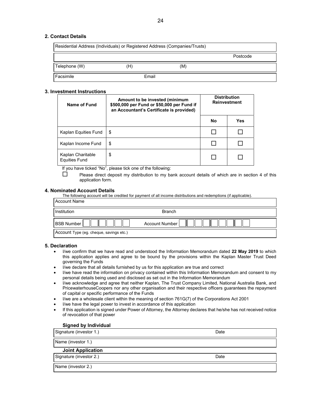#### **2. Contact Details**

|               | Residential Address (Individuals) or Registered Address (Companies/Trusts) |     |          |
|---------------|----------------------------------------------------------------------------|-----|----------|
|               |                                                                            |     | Postcode |
| Telephone (W) | H)                                                                         | (M) |          |
| Facsimile     | Email                                                                      |     |          |

#### **3. Investment Instructions**

| Name of Fund                              | Amount to be invested (minimum<br>\$500,000 per Fund or \$50,000 per Fund if<br>an Accountant's Certificate is provided) | <b>Distribution</b><br><b>Reinvestment</b> |     |
|-------------------------------------------|--------------------------------------------------------------------------------------------------------------------------|--------------------------------------------|-----|
|                                           |                                                                                                                          | No                                         | Yes |
| Kaplan Equities Fund                      | \$                                                                                                                       |                                            |     |
| Kaplan Income Fund                        | \$                                                                                                                       |                                            |     |
| Kaplan Charitable<br><b>Equities Fund</b> | \$                                                                                                                       |                                            |     |

If you have ticked "No", please tick one of the following:

 $\square$  Please direct deposit my distribution to my bank account details of which are in section 4 of this application form.

#### **4. Nominated Account Details**

The following account will be credited for payment of all income distributions and redemptions (if applicable).

| <b>Account Name</b>                     |                       |
|-----------------------------------------|-----------------------|
| Institution                             | <b>Branch</b>         |
| <b>BSB Number</b>                       | <b>Account Number</b> |
| Account Type (eg. cheque, savings etc.) |                       |

#### **5. Declaration**

- I/we confirm that we have read and understood the Information Memorandum dated **22 May 2019** to which this application applies and agree to be bound by the provisions within the Kaplan Master Trust Deed governing the Funds
- I/we declare that all details furnished by us for this application are true and correct
- I/we have read the information on privacy contained within this Information Memorandum and consent to my personal details being used and disclosed as set out in the Information Memorandum
- I/we acknowledge and agree that neither Kaplan, The Trust Company Limited, National Australia Bank, and PricewaterhouseCoopers nor any other organisation and their respective officers guarantees the repayment of capital or specific performance of the Funds
- I/we are a wholesale client within the meaning of section 761G(7) of the Corporations Act 2001
- I/we have the legal power to invest in accordance of this application
- If this application is signed under Power of Attorney, the Attorney declares that he/she has not received notice of revocation of that power

#### **Signed by Individual**

| Signature (investor 1.)  | Date |
|--------------------------|------|
| Name (investor 1.)       |      |
| <b>Joint Application</b> |      |
| Signature (investor 2.)  | Date |
| Name (investor 2.)       |      |
|                          |      |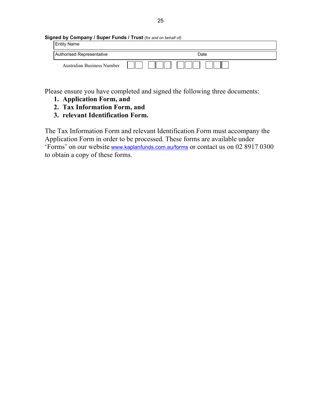#### **Signed by Company / Super Funds / Trust** *(for and on behalf of)*

| Entity Name                       |      |
|-----------------------------------|------|
| Authorised Representative         | Date |
| <b>Australian Business Number</b> |      |

Please ensure you have completed and signed the following three documents:

- **1. Application Form, and**
- **2. Tax Information Form, and**
- **3. relevant Identification Form.**

The Tax Information Form and relevant Identification Form must accompany the Application Form in order to be processed. These forms are available under 'Forms' on our website www.kaplanfunds.com.au/forms or contact us on 02 8917 0300 to obtain a copy of these forms.